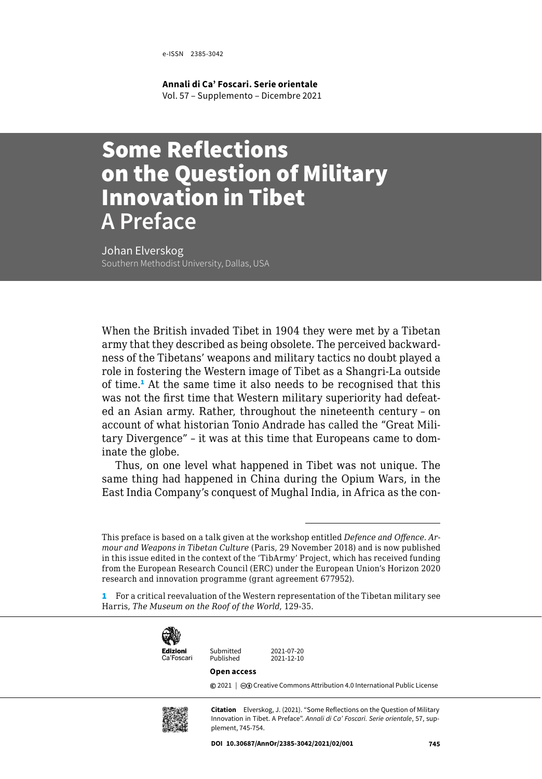e-ISSN 2385-3042

**Annali di Ca' Foscari. Serie orientale** Vol. 57 – Supplemento – Dicembre 2021

## Some Reflections on the Question of Military Innovation in Tibet **A Preface**

Johan Elverskog

When the British invaded Tibet in 1904 they were met by a Tibetan army that they described as being obsolete. The perceived backwardness of the Tibetans' weapons and military tactics no doubt played a role in fostering the Western image of Tibet as a Shangri-La outside of time.<sup>1</sup> At the same time it also needs to be recognised that this was not the first time that Western military superiority had defeated an Asian army. Rather, throughout the nineteenth century – on account of what historian Tonio Andrade has called the "Great Military Divergence" – it was at this time that Europeans came to dominate the globe.

Thus, on one level what happened in Tibet was not unique. The same thing had happened in China during the Opium Wars, in the East India Company's conquest of Mughal India, in Africa as the con-

<sup>1</sup> For a critical reevaluation of the Western representation of the Tibetan military see Harris, *The Museum on the Roof of the World*, 129-35.



Published Ca'Foscari

Submitted 2021-07-20<br>Published 2021-12-10

## **Open access**

**©** 2021 |  $\Theta$  [Creative Commons Attribution 4.0 International Public License](https://creativecommons.org/licenses/by/4.0/)



**Citation** Elverskog, J. (2021). "Some Reflections on the Question of Military Innovation in Tibet. A Preface". *Annali di Ca' Foscari. Serie orientale*, 57, supplement, 745-754.

This preface is based on a talk given at the workshop entitled *Defence and Offence. Armour and Weapons in Tibetan Culture* (Paris, 29 November 2018) and is now published in this issue edited in the context of the 'TibArmy' Project, which has received funding from the European Research Council (ERC) under the European Union's Horizon 2020 research and innovation programme (grant agreement 677952).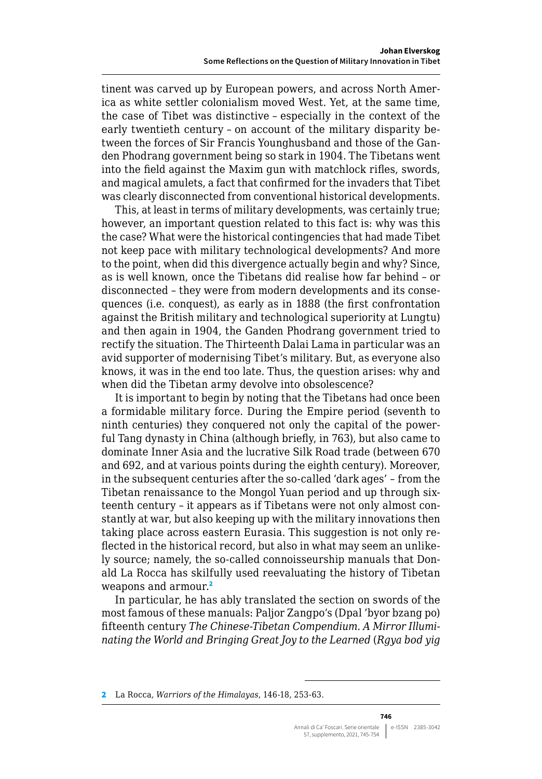tinent was carved up by European powers, and across North America as white settler colonialism moved West. Yet, at the same time, the case of Tibet was distinctive – especially in the context of the early twentieth century – on account of the military disparity between the forces of Sir Francis Younghusband and those of the Ganden Phodrang government being so stark in 1904. The Tibetans went into the field against the Maxim gun with matchlock rifles, swords, and magical amulets, a fact that confirmed for the invaders that Tibet was clearly disconnected from conventional historical developments.

This, at least in terms of military developments, was certainly true; however, an important question related to this fact is: why was this the case? What were the historical contingencies that had made Tibet not keep pace with military technological developments? And more to the point, when did this divergence actually begin and why? Since, as is well known, once the Tibetans did realise how far behind – or disconnected – they were from modern developments and its consequences (i.e. conquest), as early as in 1888 (the first confrontation against the British military and technological superiority at Lungtu) and then again in 1904, the Ganden Phodrang government tried to rectify the situation. The Thirteenth Dalai Lama in particular was an avid supporter of modernising Tibet's military. But, as everyone also knows, it was in the end too late. Thus, the question arises: why and when did the Tibetan army devolve into obsolescence?

It is important to begin by noting that the Tibetans had once been a formidable military force. During the Empire period (seventh to ninth centuries) they conquered not only the capital of the powerful Tang dynasty in China (although briefly, in 763), but also came to dominate Inner Asia and the lucrative Silk Road trade (between 670 and 692, and at various points during the eighth century). Moreover, in the subsequent centuries after the so-called 'dark ages' – from the Tibetan renaissance to the Mongol Yuan period and up through sixteenth century – it appears as if Tibetans were not only almost constantly at war, but also keeping up with the military innovations then taking place across eastern Eurasia. This suggestion is not only reflected in the historical record, but also in what may seem an unlikely source; namely, the so-called connoisseurship manuals that Donald La Rocca has skilfully used reevaluating the history of Tibetan weapons and armour.<sup>2</sup>

In particular, he has ably translated the section on swords of the most famous of these manuals: Paljor Zangpo's (Dpal 'byor bzang po) fifteenth century *The Chinese-Tibetan Compendium. A Mirror Illuminating the World and Bringing Great Joy to the Learned* (*Rgya bod yig* 

<sup>2</sup> La Rocca, *Warriors of the Himalayas*, 146-18, 253-63.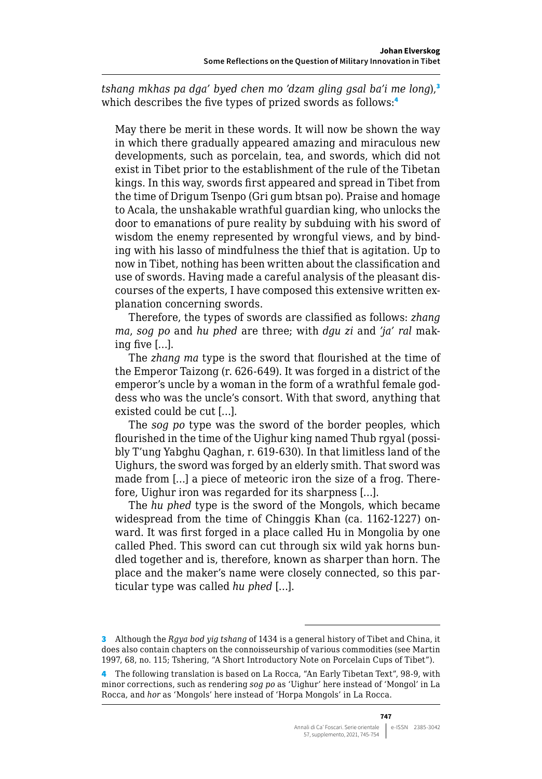*tshang mkhas pa dga' byed chen mo 'dzam gling gsal ba'i me long*),<sup>3</sup> which describes the five types of prized swords as follows:<sup>4</sup>

May there be merit in these words. It will now be shown the way in which there gradually appeared amazing and miraculous new developments, such as porcelain, tea, and swords, which did not exist in Tibet prior to the establishment of the rule of the Tibetan kings. In this way, swords first appeared and spread in Tibet from the time of Drigum Tsenpo (Gri gum btsan po). Praise and homage to Acala, the unshakable wrathful guardian king, who unlocks the door to emanations of pure reality by subduing with his sword of wisdom the enemy represented by wrongful views, and by binding with his lasso of mindfulness the thief that is agitation. Up to now in Tibet, nothing has been written about the classification and use of swords. Having made a careful analysis of the pleasant discourses of the experts, I have composed this extensive written explanation concerning swords.

Therefore, the types of swords are classified as follows: *zhang ma*, *sog po* and *hu phed* are three; with *dgu zi* and *'ja' ral* making five […].

The *zhang ma* type is the sword that flourished at the time of the Emperor Taizong (r. 626-649). It was forged in a district of the emperor's uncle by a woman in the form of a wrathful female goddess who was the uncle's consort. With that sword, anything that existed could be cut […].

The *sog po* type was the sword of the border peoples, which flourished in the time of the Uighur king named Thub rgyal (possibly T'ung Yabghu Qaghan, r. 619-630). In that limitless land of the Uighurs, the sword was forged by an elderly smith. That sword was made from […] a piece of meteoric iron the size of a frog. Therefore, Uighur iron was regarded for its sharpness […].

The *hu phed* type is the sword of the Mongols, which became widespread from the time of Chinggis Khan (ca. 1162-1227) onward. It was first forged in a place called Hu in Mongolia by one called Phed. This sword can cut through six wild yak horns bundled together and is, therefore, known as sharper than horn. The place and the maker's name were closely connected, so this particular type was called *hu phed* […].

<sup>3</sup> Although the *Rgya bod yig tshang* of 1434 is a general history of Tibet and China, it does also contain chapters on the connoisseurship of various commodities (see Martin 1997, 68, no. 115; Tshering, "A Short Introductory Note on Porcelain Cups of Tibet").

<sup>4</sup> The following translation is based on La Rocca, "An Early Tibetan Text", 98-9, with minor corrections, such as rendering *sog po* as 'Uighur' here instead of 'Mongol' in La Rocca, and *hor* as 'Mongols' here instead of 'Horpa Mongols' in La Rocca.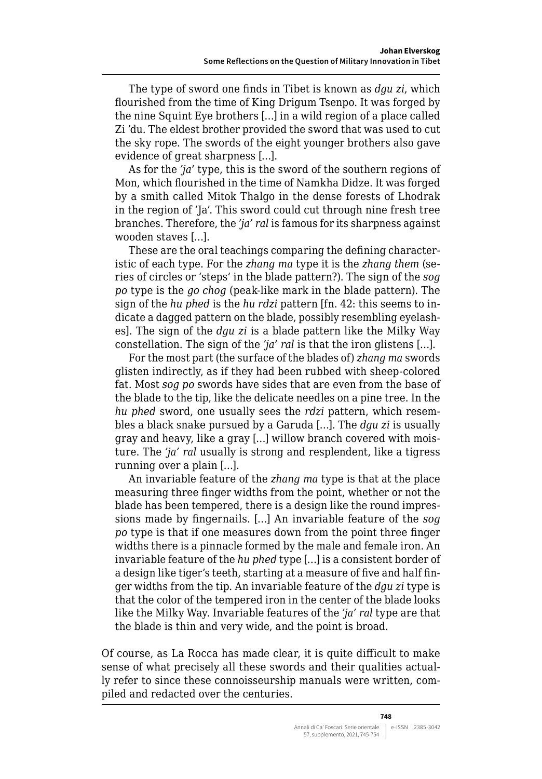The type of sword one finds in Tibet is known as *dgu zi*, which flourished from the time of King Drigum Tsenpo. It was forged by the nine Squint Eye brothers […] in a wild region of a place called Zi 'du. The eldest brother provided the sword that was used to cut the sky rope. The swords of the eight younger brothers also gave evidence of great sharpness […].

As for the *'ja'* type, this is the sword of the southern regions of Mon, which flourished in the time of Namkha Didze. It was forged by a smith called Mitok Thalgo in the dense forests of Lhodrak in the region of 'Ja'. This sword could cut through nine fresh tree branches. Therefore, the *'ja' ral* is famous for its sharpness against wooden staves […].

These are the oral teachings comparing the defining characteristic of each type. For the *zhang ma* type it is the *zhang them* (series of circles or 'steps' in the blade pattern?). The sign of the *sog po* type is the *go chog* (peak-like mark in the blade pattern). The sign of the *hu phed* is the *hu rdzi* pattern [fn. 42: this seems to indicate a dagged pattern on the blade, possibly resembling eyelashes]. The sign of the *dgu zi* is a blade pattern like the Milky Way constellation. The sign of the *'ja' ral* is that the iron glistens […].

For the most part (the surface of the blades of) *zhang ma* swords glisten indirectly, as if they had been rubbed with sheep-colored fat. Most *sog po* swords have sides that are even from the base of the blade to the tip, like the delicate needles on a pine tree. In the *hu phed* sword, one usually sees the *rdzi* pattern, which resembles a black snake pursued by a Garuda […]. The *dgu zi* is usually gray and heavy, like a gray […] willow branch covered with moisture. The *'ja' ral* usually is strong and resplendent, like a tigress running over a plain […].

An invariable feature of the *zhang ma* type is that at the place measuring three finger widths from the point, whether or not the blade has been tempered, there is a design like the round impressions made by fingernails. […] An invariable feature of the *sog po* type is that if one measures down from the point three finger widths there is a pinnacle formed by the male and female iron. An invariable feature of the *hu phed* type […] is a consistent border of a design like tiger's teeth, starting at a measure of five and half finger widths from the tip. An invariable feature of the *dgu zi* type is that the color of the tempered iron in the center of the blade looks like the Milky Way. Invariable features of the *'ja' ral* type are that the blade is thin and very wide, and the point is broad.

Of course, as La Rocca has made clear, it is quite difficult to make sense of what precisely all these swords and their qualities actually refer to since these connoisseurship manuals were written, compiled and redacted over the centuries.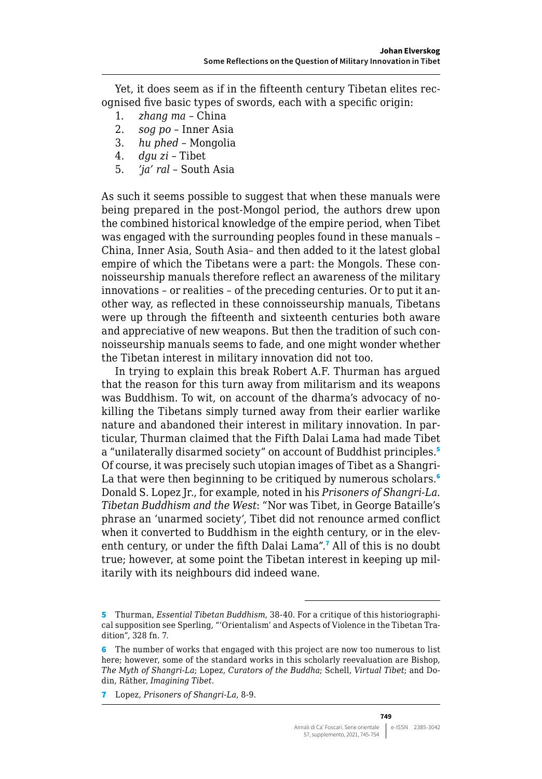Yet, it does seem as if in the fifteenth century Tibetan elites recognised five basic types of swords, each with a specific origin:

- 1. *zhang ma* China
- 2. *sog po* Inner Asia
- 3. *hu phed* Mongolia
- 4. *dgu zi* Tibet
- 5. *'ja' ral* South Asia

As such it seems possible to suggest that when these manuals were being prepared in the post-Mongol period, the authors drew upon the combined historical knowledge of the empire period, when Tibet was engaged with the surrounding peoples found in these manuals – China, Inner Asia, South Asia– and then added to it the latest global empire of which the Tibetans were a part: the Mongols. These connoisseurship manuals therefore reflect an awareness of the military innovations – or realities – of the preceding centuries. Or to put it another way, as reflected in these connoisseurship manuals, Tibetans were up through the fifteenth and sixteenth centuries both aware and appreciative of new weapons. But then the tradition of such connoisseurship manuals seems to fade, and one might wonder whether the Tibetan interest in military innovation did not too.

In trying to explain this break Robert A.F. Thurman has argued that the reason for this turn away from militarism and its weapons was Buddhism. To wit, on account of the dharma's advocacy of nokilling the Tibetans simply turned away from their earlier warlike nature and abandoned their interest in military innovation. In particular, Thurman claimed that the Fifth Dalai Lama had made Tibet a "unilaterally disarmed society" on account of Buddhist principles.<sup>5</sup> Of course, it was precisely such utopian images of Tibet as a Shangri-La that were then beginning to be critiqued by numerous scholars.<sup>6</sup> Donald S. Lopez Jr., for example, noted in his *Prisoners of Shangri-La. Tibetan Buddhism and the West*: "Nor was Tibet, in George Bataille's phrase an 'unarmed society', Tibet did not renounce armed conflict when it converted to Buddhism in the eighth century, or in the eleventh century, or under the fifth Dalai Lama".<sup>7</sup> All of this is no doubt true; however, at some point the Tibetan interest in keeping up militarily with its neighbours did indeed wane.

<sup>5</sup> Thurman, *Essential Tibetan Buddhism*, 38-40. For a critique of this historiographical supposition see Sperling, "'Orientalism' and Aspects of Violence in the Tibetan Tradition", 328 fn. 7.

<sup>6</sup> The number of works that engaged with this project are now too numerous to list here; however, some of the standard works in this scholarly reevaluation are Bishop, *The Myth of Shangri-La*; Lopez, *Curators of the Buddha*; Schell, *Virtual Tibet*; and Dodin, Räther, *Imagining Tibet*.

<sup>7</sup> Lopez, *Prisoners of Shangri-La*, 8-9.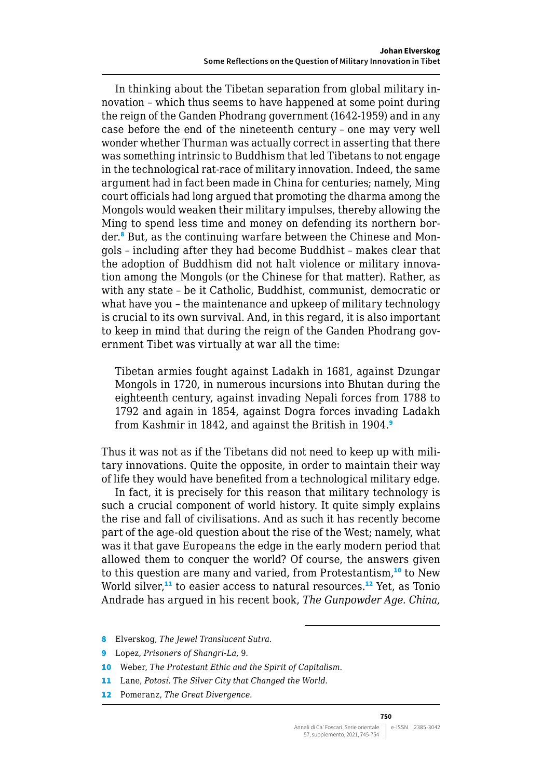In thinking about the Tibetan separation from global military innovation – which thus seems to have happened at some point during the reign of the Ganden Phodrang government (1642-1959) and in any case before the end of the nineteenth century – one may very well wonder whether Thurman was actually correct in asserting that there was something intrinsic to Buddhism that led Tibetans to not engage in the technological rat-race of military innovation. Indeed, the same argument had in fact been made in China for centuries; namely, Ming court officials had long argued that promoting the dharma among the Mongols would weaken their military impulses, thereby allowing the Ming to spend less time and money on defending its northern border.<sup>8</sup> But, as the continuing warfare between the Chinese and Mongols – including after they had become Buddhist – makes clear that the adoption of Buddhism did not halt violence or military innovation among the Mongols (or the Chinese for that matter). Rather, as with any state – be it Catholic, Buddhist, communist, democratic or what have you – the maintenance and upkeep of military technology is crucial to its own survival. And, in this regard, it is also important to keep in mind that during the reign of the Ganden Phodrang government Tibet was virtually at war all the time:

Tibetan armies fought against Ladakh in 1681, against Dzungar Mongols in 1720, in numerous incursions into Bhutan during the eighteenth century, against invading Nepali forces from 1788 to 1792 and again in 1854, against Dogra forces invading Ladakh from Kashmir in 1842, and against the British in 1904.<sup>9</sup>

Thus it was not as if the Tibetans did not need to keep up with military innovations. Quite the opposite, in order to maintain their way of life they would have benefited from a technological military edge.

In fact, it is precisely for this reason that military technology is such a crucial component of world history. It quite simply explains the rise and fall of civilisations. And as such it has recently become part of the age-old question about the rise of the West; namely, what was it that gave Europeans the edge in the early modern period that allowed them to conquer the world? Of course, the answers given to this question are many and varied, from Protestantism,<sup>10</sup> to New World silver, $11$  to easier access to natural resources. $12$  Yet, as Tonio Andrade has argued in his recent book, *The Gunpowder Age. China,* 

- 8 Elverskog, *The Jewel Translucent Sutra*.
- 9 Lopez, *Prisoners of Shangri-La*, 9.
- 10 Weber, *The Protestant Ethic and the Spirit of Capitalism*.
- 11 Lane, *Potosí. The Silver City that Changed the World*.
- 12 Pomeranz, *The Great Divergence*.

**750**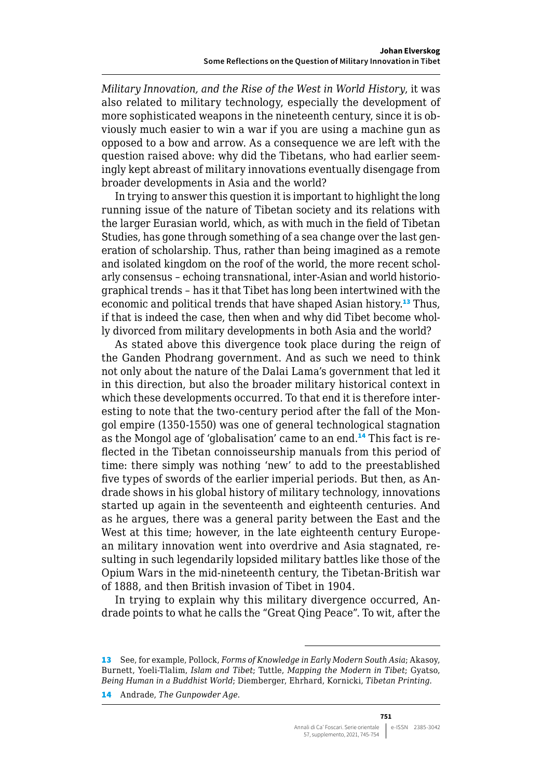*Military Innovation, and the Rise of the West in World History*, it was also related to military technology, especially the development of more sophisticated weapons in the nineteenth century, since it is obviously much easier to win a war if you are using a machine gun as opposed to a bow and arrow. As a consequence we are left with the question raised above: why did the Tibetans, who had earlier seemingly kept abreast of military innovations eventually disengage from broader developments in Asia and the world?

In trying to answer this question it is important to highlight the long running issue of the nature of Tibetan society and its relations with the larger Eurasian world, which, as with much in the field of Tibetan Studies, has gone through something of a sea change over the last generation of scholarship. Thus, rather than being imagined as a remote and isolated kingdom on the roof of the world, the more recent scholarly consensus – echoing transnational, inter-Asian and world historiographical trends – has it that Tibet has long been intertwined with the economic and political trends that have shaped Asian history.<sup>13</sup> Thus, if that is indeed the case, then when and why did Tibet become wholly divorced from military developments in both Asia and the world?

As stated above this divergence took place during the reign of the Ganden Phodrang government. And as such we need to think not only about the nature of the Dalai Lama's government that led it in this direction, but also the broader military historical context in which these developments occurred. To that end it is therefore interesting to note that the two-century period after the fall of the Mongol empire (1350-1550) was one of general technological stagnation as the Mongol age of 'globalisation' came to an end.14 This fact is reflected in the Tibetan connoisseurship manuals from this period of time: there simply was nothing 'new' to add to the preestablished five types of swords of the earlier imperial periods. But then, as Andrade shows in his global history of military technology, innovations started up again in the seventeenth and eighteenth centuries. And as he argues, there was a general parity between the East and the West at this time; however, in the late eighteenth century European military innovation went into overdrive and Asia stagnated, resulting in such legendarily lopsided military battles like those of the Opium Wars in the mid-nineteenth century, the Tibetan-British war of 1888, and then British invasion of Tibet in 1904.

In trying to explain why this military divergence occurred, Andrade points to what he calls the "Great Qing Peace". To wit, after the

<sup>13</sup> See, for example, Pollock, *Forms of Knowledge in Early Modern South Asia*; Akasoy, Burnett, Yoeli-Tlalim, *Islam and Tibet*; Tuttle, *Mapping the Modern in Tibet*; Gyatso, *Being Human in a Buddhist World*; Diemberger, Ehrhard, Kornicki, *Tibetan Printing*.

<sup>14</sup> Andrade, *The Gunpowder Age*.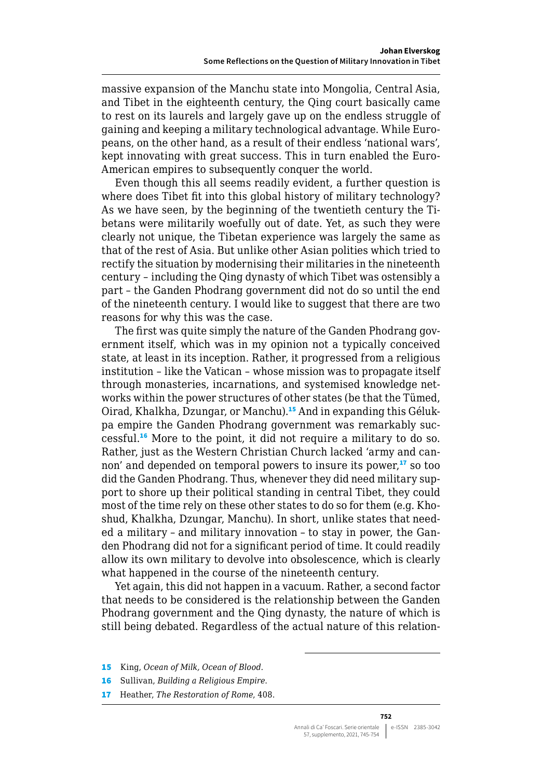massive expansion of the Manchu state into Mongolia, Central Asia, and Tibet in the eighteenth century, the Qing court basically came to rest on its laurels and largely gave up on the endless struggle of gaining and keeping a military technological advantage. While Europeans, on the other hand, as a result of their endless 'national wars', kept innovating with great success. This in turn enabled the Euro-American empires to subsequently conquer the world.

Even though this all seems readily evident, a further question is where does Tibet fit into this global history of military technology? As we have seen, by the beginning of the twentieth century the Tibetans were militarily woefully out of date. Yet, as such they were clearly not unique, the Tibetan experience was largely the same as that of the rest of Asia. But unlike other Asian polities which tried to rectify the situation by modernising their militaries in the nineteenth century – including the Qing dynasty of which Tibet was ostensibly a part – the Ganden Phodrang government did not do so until the end of the nineteenth century. I would like to suggest that there are two reasons for why this was the case.

The first was quite simply the nature of the Ganden Phodrang government itself, which was in my opinion not a typically conceived state, at least in its inception. Rather, it progressed from a religious institution – like the Vatican – whose mission was to propagate itself through monasteries, incarnations, and systemised knowledge networks within the power structures of other states (be that the Tümed, Oirad, Khalkha, Dzungar, or Manchu).15 And in expanding this Gélukpa empire the Ganden Phodrang government was remarkably successful.<sup>16</sup> More to the point, it did not require a military to do so. Rather, just as the Western Christian Church lacked 'army and cannon' and depended on temporal powers to insure its power,<sup>17</sup> so too did the Ganden Phodrang. Thus, whenever they did need military support to shore up their political standing in central Tibet, they could most of the time rely on these other states to do so for them (e.g. Khoshud, Khalkha, Dzungar, Manchu). In short, unlike states that needed a military – and military innovation – to stay in power, the Ganden Phodrang did not for a significant period of time. It could readily allow its own military to devolve into obsolescence, which is clearly what happened in the course of the nineteenth century.

Yet again, this did not happen in a vacuum. Rather, a second factor that needs to be considered is the relationship between the Ganden Phodrang government and the Qing dynasty, the nature of which is still being debated. Regardless of the actual nature of this relation-

- 15 King, *Ocean of Milk, Ocean of Blood*.
- 16 Sullivan, *Building a Religious Empire*.
- 17 Heather, *The Restoration of Rome*, 408.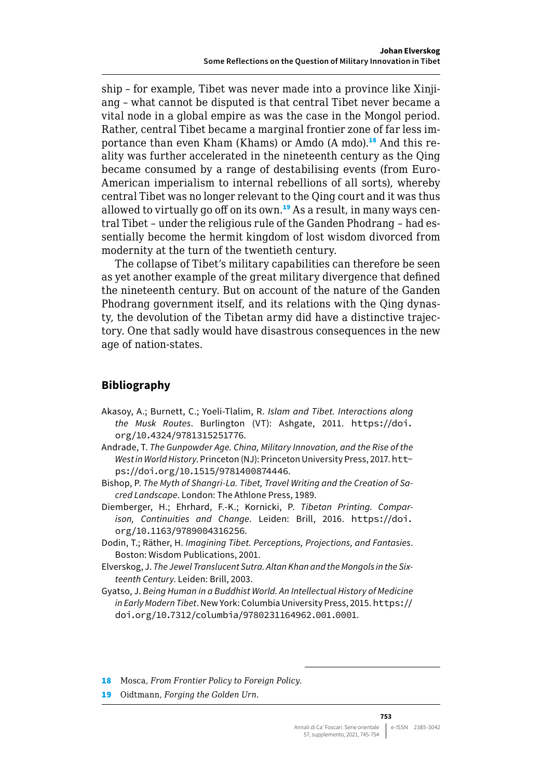ship – for example, Tibet was never made into a province like Xinjiang – what cannot be disputed is that central Tibet never became a vital node in a global empire as was the case in the Mongol period. Rather, central Tibet became a marginal frontier zone of far less importance than even Kham (Khams) or Amdo (A mdo).<sup>18</sup> And this reality was further accelerated in the nineteenth century as the Qing became consumed by a range of destabilising events (from Euro-American imperialism to internal rebellions of all sorts), whereby central Tibet was no longer relevant to the Qing court and it was thus allowed to virtually go off on its own.<sup>19</sup> As a result, in many ways central Tibet – under the religious rule of the Ganden Phodrang – had essentially become the hermit kingdom of lost wisdom divorced from modernity at the turn of the twentieth century.

The collapse of Tibet's military capabilities can therefore be seen as yet another example of the great military divergence that defined the nineteenth century. But on account of the nature of the Ganden Phodrang government itself, and its relations with the Qing dynasty, the devolution of the Tibetan army did have a distinctive trajectory. One that sadly would have disastrous consequences in the new age of nation-states.

## **Bibliography**

- Akasoy, A.; Burnett, C.; Yoeli-Tlalim, R. *Islam and Tibet. Interactions along the Musk Routes*. Burlington (VT): Ashgate, 2011. [https://doi.](https://doi.org/10.4324/9781315251776) [org/10.4324/9781315251776](https://doi.org/10.4324/9781315251776).
- Andrade, T. *The Gunpowder Age. China, Military Innovation, and the Rise of the West in World History*. Princeton (NJ): Princeton University Press, 2017. [htt](https://doi.org/10.1515/9781400874446)[ps://doi.org/10.1515/9781400874446](https://doi.org/10.1515/9781400874446).
- Bishop, P. *The Myth of Shangri-La. Tibet, Travel Writing and the Creation of Sacred Landscape*. London: The Athlone Press, 1989.
- Diemberger, H.; Ehrhard, F.-K.; Kornicki, P. *Tibetan Printing. Comparison, Continuities and Change*. Leiden: Brill, 2016. [https://doi.](https://doi.org/10.1163/9789004316256) [org/10.1163/9789004316256](https://doi.org/10.1163/9789004316256).
- Dodin, T.; Räther, H. *Imagining Tibet. Perceptions, Projections, and Fantasies*. Boston: Wisdom Publications, 2001.
- Elverskog, J. *The Jewel Translucent Sutra. Altan Khan and the Mongols in the Sixteenth Century*. Leiden: Brill, 2003.
- Gyatso, J. *Being Human in a Buddhist World. An Intellectual History of Medicine in Early Modern Tibet*. New York: Columbia University Press, 2015. [https://](https://doi.org/10.7312/columbia/9780231164962.001.0001) [doi.org/10.7312/columbia/9780231164962.001.0001](https://doi.org/10.7312/columbia/9780231164962.001.0001).

18 Mosca, *From Frontier Policy to Foreign Policy*.

19 Oidtmann, *Forging the Golden Urn*.